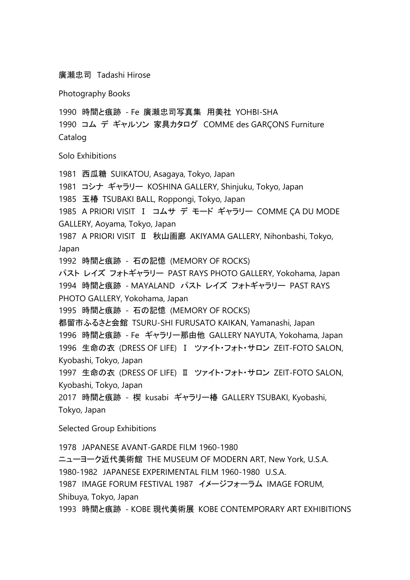廣瀬忠司 Tadashi Hirose

Photography Books

1990 時間と痕跡 - Fe 廣瀬忠司写真集 用美社 YOHBI-SHA

1990 コム デ ギャルソン 家具カタログ COMME des GARÇONS Furniture Catalog

Solo Exhibitions

1981 西瓜糖 SUIKATOU, Asagaya, Tokyo, Japan 1981 コシナ ギャラリー KOSHINA GALLERY, Shinjuku, Tokyo, Japan 1985 玉椿 TSUBAKI BALL, Roppongi, Tokyo, Japan 1985 A PRIORI VISIT Ⅰ コムサ デ モード ギャラリー COMME ÇA DU MODE GALLERY, Aoyama, Tokyo, Japan 1987 A PRIORI VISIT Ⅱ 秋山画廊 AKIYAMA GALLERY, Nihonbashi, Tokyo, Japan 1992 時間と痕跡 - 石の記憶 (MEMORY OF ROCKS) パスト レイズ フォトギャラリー PAST RAYS PHOTO GALLERY, Yokohama, Japan 1994 時間と痕跡 - MAYALAND パスト レイズ フォトギャラリー PAST RAYS PHOTO GALLERY, Yokohama, Japan 1995 時間と痕跡 - 石の記憶 (MEMORY OF ROCKS) 都留市ふるさと会館 TSURU-SHI FURUSATO KAIKAN, Yamanashi, Japan 1996 時間と痕跡 - Fe ギャラリー那由他 GALLERY NAYUTA, Yokohama, Japan 1996 生命の衣 (DRESS OF LIFE) I ツァイト・フォト・サロン ZEIT-FOTO SALON, Kyobashi, Tokyo, Japan 1997 生命の衣 (DRESS OF LIFE) II ツァイト・フォト・サロン ZEIT-FOTO SALON, Kyobashi, Tokyo, Japan 2017 時間と痕跡 - 楔 kusabi ギャラリー椿 GALLERY TSUBAKI, Kyobashi, Tokyo, Japan Selected Group Exhibitions

1978 JAPANESE AVANT-GARDE FILM 1960-1980 ニューヨーク近代美術館 THE MUSEUM OF MODERN ART, New York, U.S.A. 1980-1982 JAPANESE EXPERIMENTAL FILM 1960-1980 U.S.A. 1987 IMAGE FORUM FESTIVAL 1987 イメージフォーラム IMAGE FORUM, Shibuya, Tokyo, Japan 1993 時間と痕跡 - KOBE 現代美術展 KOBE CONTEMPORARY ART EXHIBITIONS